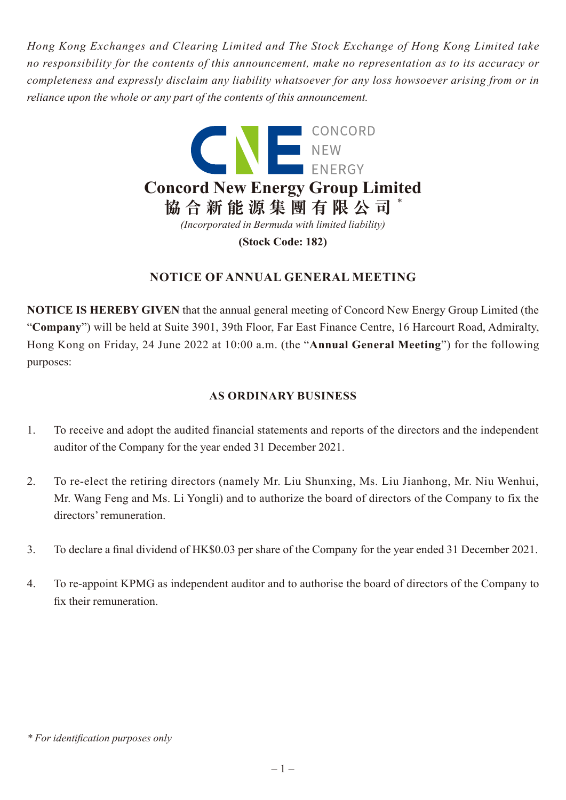*Hong Kong Exchanges and Clearing Limited and The Stock Exchange of Hong Kong Limited take no responsibility for the contents of this announcement, make no representation as to its accuracy or completeness and expressly disclaim any liability whatsoever for any loss howsoever arising from or in reliance upon the whole or any part of the contents of this announcement.*



# **NOTICE OF ANNUAL GENERAL MEETING**

**NOTICE IS HEREBY GIVEN** that the annual general meeting of Concord New Energy Group Limited (the "**Company**") will be held at Suite 3901, 39th Floor, Far East Finance Centre, 16 Harcourt Road, Admiralty, Hong Kong on Friday, 24 June 2022 at 10:00 a.m. (the "**Annual General Meeting**") for the following purposes:

# **AS ORDINARY BUSINESS**

- 1. To receive and adopt the audited financial statements and reports of the directors and the independent auditor of the Company for the year ended 31 December 2021.
- 2. To re-elect the retiring directors (namely Mr. Liu Shunxing, Ms. Liu Jianhong, Mr. Niu Wenhui, Mr. Wang Feng and Ms. Li Yongli) and to authorize the board of directors of the Company to fix the directors' remuneration.
- 3. To declare a final dividend of HK\$0.03 per share of the Company for the year ended 31 December 2021.
- 4. To re-appoint KPMG as independent auditor and to authorise the board of directors of the Company to fix their remuneration.

*<sup>\*</sup> For identification purposes only*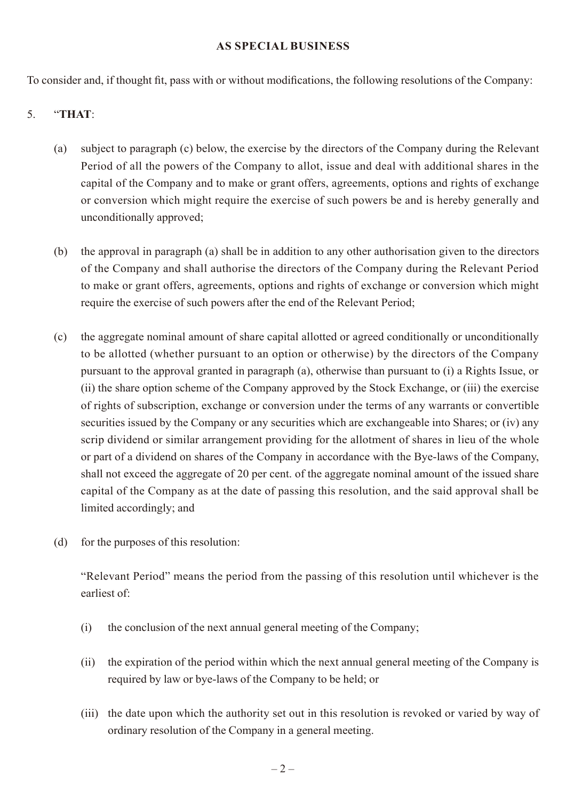#### **AS SPECIAL BUSINESS**

To consider and, if thought fit, pass with or without modifications, the following resolutions of the Company:

## 5. "**THAT**:

- (a) subject to paragraph (c) below, the exercise by the directors of the Company during the Relevant Period of all the powers of the Company to allot, issue and deal with additional shares in the capital of the Company and to make or grant offers, agreements, options and rights of exchange or conversion which might require the exercise of such powers be and is hereby generally and unconditionally approved;
- (b) the approval in paragraph (a) shall be in addition to any other authorisation given to the directors of the Company and shall authorise the directors of the Company during the Relevant Period to make or grant offers, agreements, options and rights of exchange or conversion which might require the exercise of such powers after the end of the Relevant Period;
- (c) the aggregate nominal amount of share capital allotted or agreed conditionally or unconditionally to be allotted (whether pursuant to an option or otherwise) by the directors of the Company pursuant to the approval granted in paragraph (a), otherwise than pursuant to (i) a Rights Issue, or (ii) the share option scheme of the Company approved by the Stock Exchange, or (iii) the exercise of rights of subscription, exchange or conversion under the terms of any warrants or convertible securities issued by the Company or any securities which are exchangeable into Shares; or (iv) any scrip dividend or similar arrangement providing for the allotment of shares in lieu of the whole or part of a dividend on shares of the Company in accordance with the Bye-laws of the Company, shall not exceed the aggregate of 20 per cent. of the aggregate nominal amount of the issued share capital of the Company as at the date of passing this resolution, and the said approval shall be limited accordingly; and
- (d) for the purposes of this resolution:

"Relevant Period" means the period from the passing of this resolution until whichever is the earliest of:

- (i) the conclusion of the next annual general meeting of the Company;
- (ii) the expiration of the period within which the next annual general meeting of the Company is required by law or bye-laws of the Company to be held; or
- (iii) the date upon which the authority set out in this resolution is revoked or varied by way of ordinary resolution of the Company in a general meeting.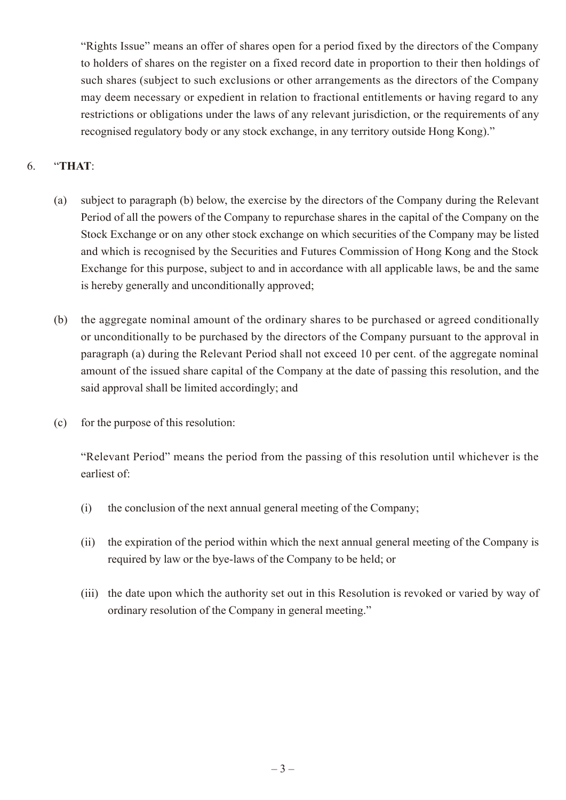"Rights Issue" means an offer of shares open for a period fixed by the directors of the Company to holders of shares on the register on a fixed record date in proportion to their then holdings of such shares (subject to such exclusions or other arrangements as the directors of the Company may deem necessary or expedient in relation to fractional entitlements or having regard to any restrictions or obligations under the laws of any relevant jurisdiction, or the requirements of any recognised regulatory body or any stock exchange, in any territory outside Hong Kong)."

## 6. "**THAT**:

- (a) subject to paragraph (b) below, the exercise by the directors of the Company during the Relevant Period of all the powers of the Company to repurchase shares in the capital of the Company on the Stock Exchange or on any other stock exchange on which securities of the Company may be listed and which is recognised by the Securities and Futures Commission of Hong Kong and the Stock Exchange for this purpose, subject to and in accordance with all applicable laws, be and the same is hereby generally and unconditionally approved;
- (b) the aggregate nominal amount of the ordinary shares to be purchased or agreed conditionally or unconditionally to be purchased by the directors of the Company pursuant to the approval in paragraph (a) during the Relevant Period shall not exceed 10 per cent. of the aggregate nominal amount of the issued share capital of the Company at the date of passing this resolution, and the said approval shall be limited accordingly; and
- (c) for the purpose of this resolution:

"Relevant Period" means the period from the passing of this resolution until whichever is the earliest of:

- (i) the conclusion of the next annual general meeting of the Company;
- (ii) the expiration of the period within which the next annual general meeting of the Company is required by law or the bye-laws of the Company to be held; or
- (iii) the date upon which the authority set out in this Resolution is revoked or varied by way of ordinary resolution of the Company in general meeting."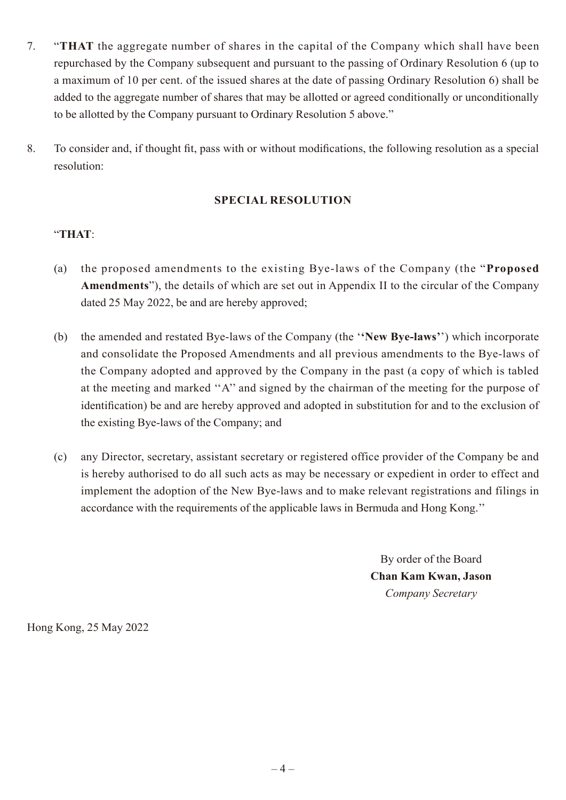- 7. "**THAT** the aggregate number of shares in the capital of the Company which shall have been repurchased by the Company subsequent and pursuant to the passing of Ordinary Resolution 6 (up to a maximum of 10 per cent. of the issued shares at the date of passing Ordinary Resolution 6) shall be added to the aggregate number of shares that may be allotted or agreed conditionally or unconditionally to be allotted by the Company pursuant to Ordinary Resolution 5 above."
- 8. To consider and, if thought fit, pass with or without modifications, the following resolution as a special resolution:

### **SPECIAL RESOLUTION**

### "**THAT**:

- (a) the proposed amendments to the existing Bye-laws of the Company (the "**Proposed Amendments**"), the details of which are set out in Appendix II to the circular of the Company dated 25 May 2022, be and are hereby approved;
- (b) the amended and restated Bye-laws of the Company (the '**'New Bye-laws'**') which incorporate and consolidate the Proposed Amendments and all previous amendments to the Bye-laws of the Company adopted and approved by the Company in the past (a copy of which is tabled at the meeting and marked ''A'' and signed by the chairman of the meeting for the purpose of identification) be and are hereby approved and adopted in substitution for and to the exclusion of the existing Bye-laws of the Company; and
- (c) any Director, secretary, assistant secretary or registered office provider of the Company be and is hereby authorised to do all such acts as may be necessary or expedient in order to effect and implement the adoption of the New Bye-laws and to make relevant registrations and filings in accordance with the requirements of the applicable laws in Bermuda and Hong Kong.''

By order of the Board **Chan Kam Kwan, Jason** *Company Secretary*

Hong Kong, 25 May 2022